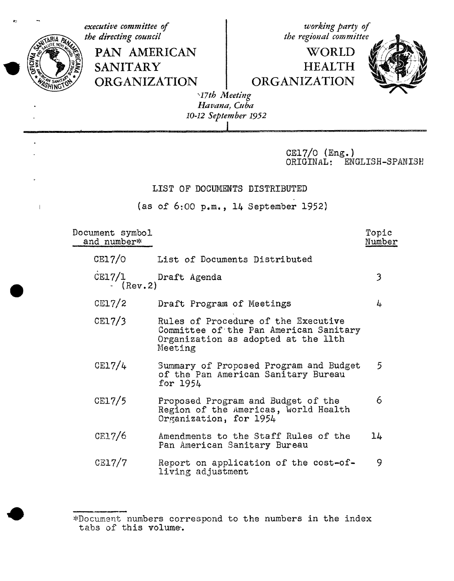executive committee of working party of the directing council the regional committee PAN AMERICAN WORLD **SANITARY HEALTH ORGANIZATION ORGANIZATION** 17th Meeting Havana, Cuba 10-12 September 1952  $CE17/0$  (Eng.) ORIGINAL: ENGLISH-SPANISH

## LIST OF DOCUMENTS DISTRIBUTED

(as of  $6:00$  p.m., 14 September 1952)

Document symbol Topic and number\* Number  $CE17/0$ List of Documents Distributed  $CE17/1$ Draft Agenda 3  $\cdot$  (Rev. 2)  $C<sub>L</sub>7/2$ Draft Program of Meetings 4  $CE17/3$ Rules of Procedure of the Executive Committee of the Pan American Sanitary Organization as adopted at the llth Meeting  $CE17/4$ Summary of Proposed Program and Budget 5 of the Pan American Sanitary Bureau for 1954  $CE17/5$ 6 Proposed Program and Budget of the Region of the Americas, World Health Organization, for 1954  $CE17/6$ Amendments to the Staff Rules of the  $1<sub>k</sub>$ Pan American Sanitary Bureau  $CE17/7$ Report on application of the cost-of-9 living adjustment

<sup>\*</sup>Document numbers correspond to the numbers in the index tabs of this volume.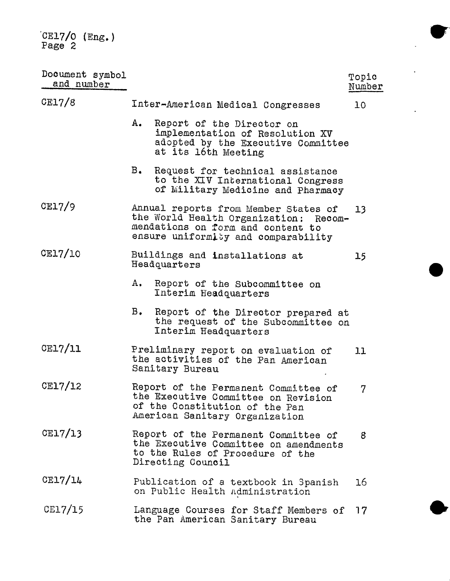CE17**/**O(Eng.) Page

| Document symbol<br>and number |                                                                                                                                                           | Topic<br>Number |
|-------------------------------|-----------------------------------------------------------------------------------------------------------------------------------------------------------|-----------------|
| CE17/8                        | Inter-American Medical Congresses                                                                                                                         | 10              |
|                               | $A_{\bullet}$<br>Report of the Director on<br>implementation of Resolution XV<br>adopted by the Executive Committee<br>at its 16th Meeting                |                 |
|                               | $B_{\bullet}$<br>Request for technical assistance<br>to the XIV International Congress<br>of Military Medicine and Pharmacy                               |                 |
| CE17/9                        | Annual reports from Member States of<br>the World Health Organization: Recom-<br>mendations on form and content to<br>ensure uniformity and comparability | 13              |
| CE17/10                       | Buildings and installations at<br>Headquarters                                                                                                            | 15              |
|                               | $A_{\bullet}$<br>Report of the Subcommittee on<br>Interim Headquarters                                                                                    |                 |
|                               | в.<br>Report of the Director prepared at<br>the request of the Subcommittee on<br>Interim Headquarters                                                    |                 |
| CE17/11                       | Preliminary report on evaluation of<br>the activities of the Pan American<br>Sanitary Bureau                                                              | 11              |
| CE17/12                       | Report of the Permanent Committee of<br>the Executive Committee on Revision<br>of the Constitution of the Pan<br>American Sanitary Organization           | 7               |
| CE17/13                       | Report of the Permanent Committee of<br>the Executive Committee on amendments<br>to the Rules of Procedure of the<br>Directing Council                    | 8               |
| CE17/14                       | Publication of a textbook in Spanish<br>on Public Health Administration                                                                                   | 16              |
| CE17/15                       | Language Courses for Staff Members of<br>the Pan American Sanitary Bureau                                                                                 | 17              |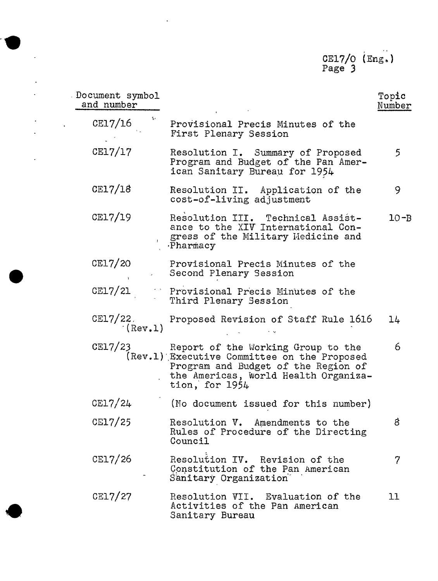CE17**/**O iEng. ) Page 3

| Document symbol<br>and number       |                                                                                                                                                                                      | Topic<br>Number |
|-------------------------------------|--------------------------------------------------------------------------------------------------------------------------------------------------------------------------------------|-----------------|
| $\mathbf{g}(\mathbf{r})$<br>CE17/16 | Provisional Precis Minutes of the<br>First Plenary Session                                                                                                                           |                 |
| CE17/17                             | Resolution I. Summary of Proposed<br>Program and Budget of the Pan Amer-<br>ican Sanitary Bureau for 1954                                                                            | 5               |
| CE17/18                             | Resolution II. Application of the<br>cost-of-living adjustment                                                                                                                       | 9               |
| CE17/19                             | Resolution III. Technical Assist-<br>ance to the XIV International Con-<br>gress of the Military Medicine and<br>Pharmacy                                                            | $10 - B$        |
| CE17/20                             | Provisional Precis Minutes of the<br>Second Plenary Session                                                                                                                          |                 |
| CE17/21                             | Provisional Precis Minutes of the<br>Third Plenary Session                                                                                                                           |                 |
| CE17/22.<br>$(\text{Rev.1})$        | Proposed Revision of Staff Rule 1616                                                                                                                                                 | 14              |
| CE17/23                             | Report of the Working Group to the<br>(Rev.1) Executive Committee on the Proposed<br>Program and Budget of the Region of<br>the Americas, World Health Organiza-<br>tion, for $1954$ | 6               |
| CE17/24                             | (No document issued for this number)                                                                                                                                                 |                 |
| CE17/25                             | Resolution V. Amendments to the<br>Rules of Procedure of the Directing<br>Council                                                                                                    | 8               |
| CE17/26                             | Resolution IV. Revision of the<br>Constitution of the Pan American<br>Sanitary Organization                                                                                          | 7               |
| C <sub>E17/27</sub>                 | Resolution VII. Evaluation of the<br>Activities of the Pan American<br>Sanitary Bureau                                                                                               | 11              |

l,

 $\ddot{\phantom{a}}$ 

 $\cdot$  $\ddot{\phantom{a}}$ 

.